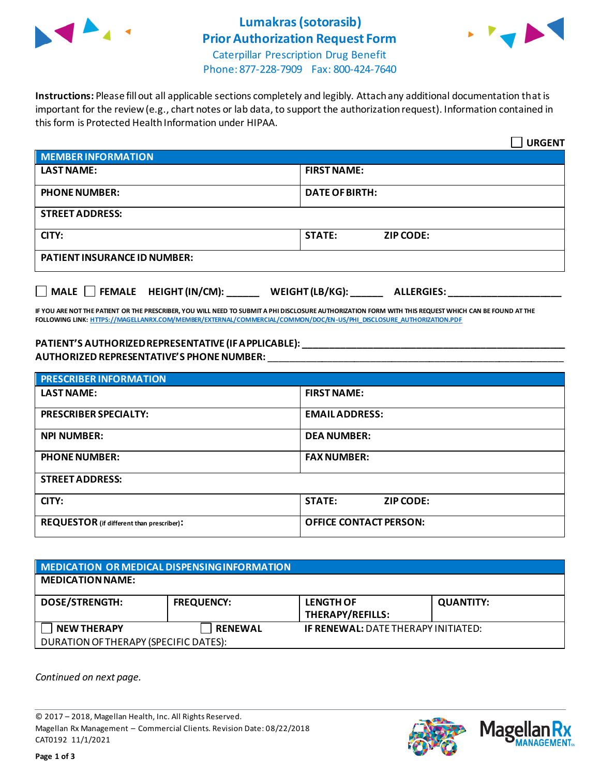

## **Lumakras(sotorasib) Prior Authorization Request Form**



Caterpillar Prescription Drug Benefit Phone: 877-228-7909 Fax: 800-424-7640

**Instructions:** Please fill out all applicable sections completely and legibly. Attach any additional documentation that is important for the review (e.g., chart notes or lab data, to support the authorization request). Information contained in this form is Protected Health Information under HIPAA.

|                                                                                   | <b>URGENT</b>                     |  |  |  |
|-----------------------------------------------------------------------------------|-----------------------------------|--|--|--|
| <b>MEMBER INFORMATION</b>                                                         |                                   |  |  |  |
| <b>LAST NAME:</b>                                                                 | <b>FIRST NAME:</b>                |  |  |  |
| <b>PHONE NUMBER:</b>                                                              | <b>DATE OF BIRTH:</b>             |  |  |  |
| <b>STREET ADDRESS:</b>                                                            |                                   |  |  |  |
| CITY:                                                                             | <b>STATE:</b><br><b>ZIP CODE:</b> |  |  |  |
| <b>PATIENT INSURANCE ID NUMBER:</b>                                               |                                   |  |  |  |
| $\Box$ MALE $\Box$ FEMALE HEIGHT (IN/CM):<br>WEIGHT (LB/KG):<br><b>ALLERGIES:</b> |                                   |  |  |  |

**IF YOU ARE NOT THE PATIENT OR THE PRESCRIBER, YOU WILL NEED TO SUBMIT A PHI DISCLOSURE AUTHORIZATION FORM WITH THIS REQUEST WHICH CAN BE FOUND AT THE FOLLOWING LINK[: HTTPS://MAGELLANRX.COM/MEMBER/EXTERNAL/COMMERCIAL/COMMON/DOC/EN-US/PHI\\_DISCLOSURE\\_AUTHORIZATION.PDF](https://magellanrx.com/member/external/commercial/common/doc/en-us/PHI_Disclosure_Authorization.pdf)**

#### **PATIENT'S AUTHORIZED REPRESENTATIVE (IF APPLICABLE): \_\_\_\_\_\_\_\_\_\_\_\_\_\_\_\_\_\_\_\_\_\_\_\_\_\_\_\_\_\_\_\_\_\_\_\_\_\_\_\_\_\_\_\_\_\_\_\_\_ AUTHORIZED REPRESENTATIVE'S PHONE NUMBER:** \_\_\_\_\_\_\_\_\_\_\_\_\_\_\_\_\_\_\_\_\_\_\_\_\_\_\_\_\_\_\_\_\_\_\_\_\_\_\_\_\_\_\_\_\_\_\_\_\_\_\_\_\_\_\_

| <b>PRESCRIBER INFORMATION</b>             |                               |  |  |
|-------------------------------------------|-------------------------------|--|--|
| <b>LAST NAME:</b>                         | <b>FIRST NAME:</b>            |  |  |
| <b>PRESCRIBER SPECIALTY:</b>              | <b>EMAIL ADDRESS:</b>         |  |  |
| <b>NPI NUMBER:</b>                        | <b>DEA NUMBER:</b>            |  |  |
| <b>PHONE NUMBER:</b>                      | <b>FAX NUMBER:</b>            |  |  |
| <b>STREET ADDRESS:</b>                    |                               |  |  |
| CITY:                                     | <b>STATE:</b><br>ZIP CODE:    |  |  |
| REQUESTOR (if different than prescriber): | <b>OFFICE CONTACT PERSON:</b> |  |  |

| MEDICATION OR MEDICAL DISPENSING INFORMATION |                   |                                            |                  |  |  |
|----------------------------------------------|-------------------|--------------------------------------------|------------------|--|--|
| <b>MEDICATION NAME:</b>                      |                   |                                            |                  |  |  |
| <b>DOSE/STRENGTH:</b>                        | <b>FREQUENCY:</b> | <b>LENGTH OF</b><br>THERAPY/REFILLS:       | <b>QUANTITY:</b> |  |  |
| <b>NEW THERAPY</b>                           | <b>RENEWAL</b>    | <b>IF RENEWAL: DATE THERAPY INITIATED:</b> |                  |  |  |
| DURATION OF THERAPY (SPECIFIC DATES):        |                   |                                            |                  |  |  |

*Continued on next page.*

© 2017 – 2018, Magellan Health, Inc. All Rights Reserved. Magellan Rx Management – Commercial Clients. Revision Date: 08/22/2018 CAT0192 11/1/2021



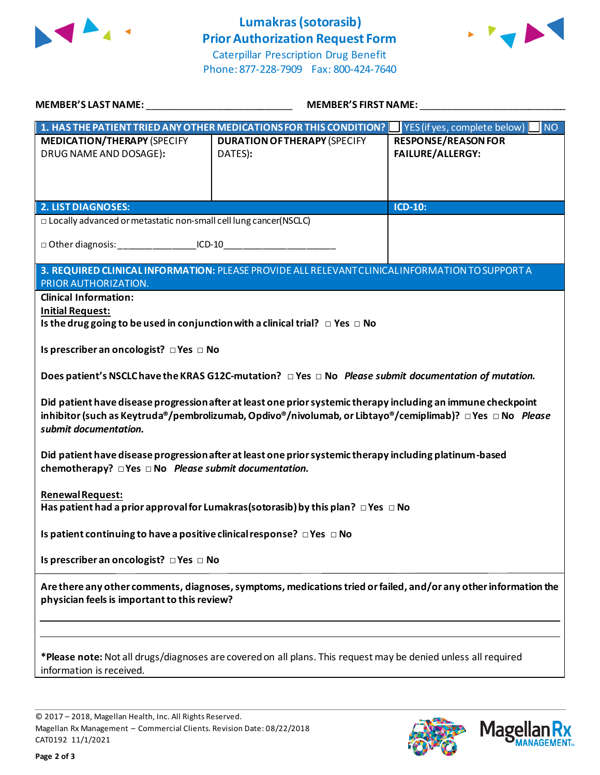

# **Lumakras(sotorasib) Prior Authorization Request Form**



Caterpillar Prescription Drug Benefit Phone: 877-228-7909 Fax: 800-424-7640

| MEMBER'S LAST NAME: NAME AND A SERIES AND A SERIES OF STRING AND A SERIES OF STRING AND A SERIES OF STRING AND                                                                                                                                      | <b>MEMBER'S FIRST NAME:</b>                                                                                                               |                                                 |  |  |  |
|-----------------------------------------------------------------------------------------------------------------------------------------------------------------------------------------------------------------------------------------------------|-------------------------------------------------------------------------------------------------------------------------------------------|-------------------------------------------------|--|--|--|
| <b>MEDICATION/THERAPY (SPECIFY</b>                                                                                                                                                                                                                  | 1. HAS THE PATIENT TRIED ANY OTHER MEDICATIONS FOR THIS CONDITION? IF YES (if yes, complete below)<br><b>DURATION OF THERAPY (SPECIFY</b> | $\blacksquare$ NO<br><b>RESPONSE/REASON FOR</b> |  |  |  |
| DRUG NAME AND DOSAGE):                                                                                                                                                                                                                              | DATES):                                                                                                                                   | <b>FAILURE/ALLERGY:</b>                         |  |  |  |
|                                                                                                                                                                                                                                                     |                                                                                                                                           |                                                 |  |  |  |
| <b>2. LIST DIAGNOSES:</b>                                                                                                                                                                                                                           |                                                                                                                                           | <b>ICD-10:</b>                                  |  |  |  |
|                                                                                                                                                                                                                                                     | □ Locally advanced or metastatic non-small cell lung cancer(NSCLC)                                                                        |                                                 |  |  |  |
| □ Other diagnosis: ___________________ICD-10___________________________________                                                                                                                                                                     |                                                                                                                                           |                                                 |  |  |  |
| 3. REQUIRED CLINICAL INFORMATION: PLEASE PROVIDE ALL RELEVANT CLINICAL INFORMATION TO SUPPORT A<br>PRIOR AUTHORIZATION.                                                                                                                             |                                                                                                                                           |                                                 |  |  |  |
| <b>Clinical Information:</b><br><b>Initial Request:</b><br>Is the drug going to be used in conjunction with a clinical trial? $\Box$ Yes $\Box$ No                                                                                                  |                                                                                                                                           |                                                 |  |  |  |
| Is prescriber an oncologist? □ Yes □ No                                                                                                                                                                                                             |                                                                                                                                           |                                                 |  |  |  |
|                                                                                                                                                                                                                                                     | Does patient's NSCLC have the KRAS G12C-mutation? $\Box$ Yes $\Box$ No Please submit documentation of mutation.                           |                                                 |  |  |  |
| Did patient have disease progression after at least one prior systemic therapy including an immune checkpoint<br>inhibitor (such as Keytruda®/pembrolizumab, Opdivo®/nivolumab, or Libtayo®/cemiplimab)? □ Yes □ No Please<br>submit documentation. |                                                                                                                                           |                                                 |  |  |  |
| Did patient have disease progression after at least one prior systemic therapy including platinum-based<br>chemotherapy? $\Box$ Yes $\Box$ No Please submit documentation.                                                                          |                                                                                                                                           |                                                 |  |  |  |
| <b>Renewal Request:</b><br>Has patient had a prior approval for Lumakras (sotorasib) by this plan? $\Box$ Yes $\Box$ No                                                                                                                             |                                                                                                                                           |                                                 |  |  |  |
| Is patient continuing to have a positive clinical response? $\Box$ Yes $\Box$ No                                                                                                                                                                    |                                                                                                                                           |                                                 |  |  |  |
| Is prescriber an oncologist? $\Box$ Yes $\Box$ No                                                                                                                                                                                                   |                                                                                                                                           |                                                 |  |  |  |
| Are there any other comments, diagnoses, symptoms, medications tried or failed, and/or any other information the<br>physician feels is important to this review?                                                                                    |                                                                                                                                           |                                                 |  |  |  |
|                                                                                                                                                                                                                                                     |                                                                                                                                           |                                                 |  |  |  |
| *Please note: Not all drugs/diagnoses are covered on all plans. This request may be denied unless all required<br>information is received.                                                                                                          |                                                                                                                                           |                                                 |  |  |  |

© 2017 – 2018, Magellan Health, Inc. All Rights Reserved. Magellan Rx Management – Commercial Clients. Revision Date: 08/22/2018 CAT0192 11/1/2021